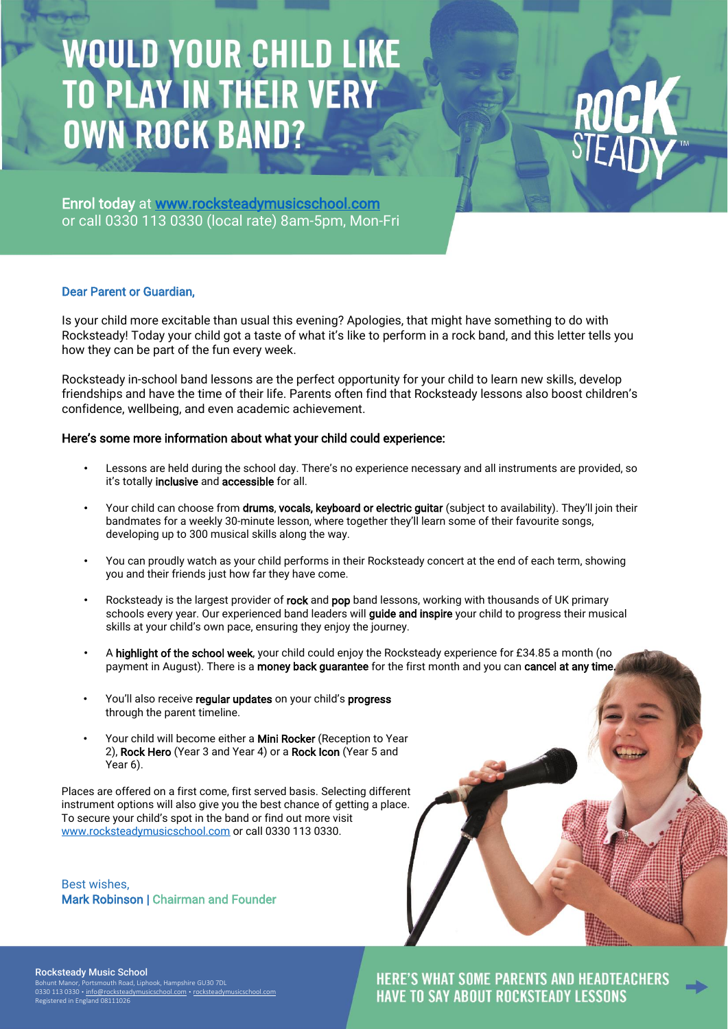# **WOULD YOUR CHILD LIKE**<br>TO PLAY IN THEIR VERY **OWN ROCK BAND?**

Enrol today at [www.rocksteadymusicschool.com](http://www.rocksteadymusicschool.com/) or call 0330 113 0330 (local rate) 8am-5pm, Mon-Fri

#### Dear Parent or Guardian,

Is your child more excitable than usual this evening? Apologies, that might have something to do with Rocksteady! Today your child got a taste of what it's like to perform in a rock band, and this letter tells you how they can be part of the fun every week.

Rocksteady in-school band lessons are the perfect opportunity for your child to learn new skills, develop friendships and have the time of their life. Parents often find that Rocksteady lessons also boost children's confidence, wellbeing, and even academic achievement.

### Here's some more information about what your child could experience:

- Lessons are held during the school day. There's no experience necessary and all instruments are provided, so it's totally inclusive and accessible for all.
- Your child can choose from drums, vocals, keyboard or electric quitar (subject to availability). They'll join their bandmates for a weekly 30-minute lesson, where together they'll learn some of their favourite songs, developing up to 300 musical skills along the way.
- You can proudly watch as your child performs in their Rocksteady concert at the end of each term, showing you and their friends just how far they have come.
- Rocksteady is the largest provider of rock and pop band lessons, working with thousands of UK primary schools every year. Our experienced band leaders will **quide and inspire** your child to progress their musical skills at your child's own pace, ensuring they enjoy the journey.
- A highlight of the school week, your child could enjoy the Rocksteady experience for £34.85 a month (no payment in August). There is a money back guarantee for the first month and you can cancel at any time.
- You'll also receive regular updates on your child's progress through the parent timeline.
- Your child will become either a Mini Rocker (Reception to Year 2), Rock Hero (Year 3 and Year 4) or a Rock Icon (Year 5 and Year 6).

Places are offered on a first come, first served basis. Selecting different instrument options will also give you the best chance of getting a place. To secure your child's spot in the band or find out more visit [www.rocksteadymusicschool.com](http://www.rocksteadymusicschool.com/) or call 0330 113 0330.

Best wishes, Mark Robinson | Chairman and Founder



#### Rocksteady Music School

Bohunt Manor, Portsmouth Road, Liphook, Hampshire GU30 7DL<br>0330 113 0330 • <u>[info@rocksteadymusicschool.com](mailto:info@rocksteadymusicschool.com) • [rocksteadymusicschool.com](https://www.lavaadvisory.com/)</u> stered in England 0811102